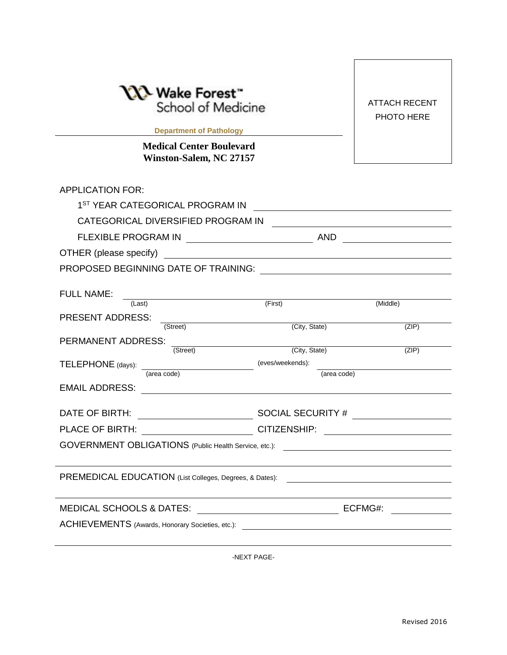| └ Wake Forest™<br>School of Medicine<br><b>Department of Pathology Exercise 2018</b><br><b>Medical Center Boulevard</b>                         |                                                                                                                       | <b>ATTACH RECENT</b><br>PHOTO HERE |
|-------------------------------------------------------------------------------------------------------------------------------------------------|-----------------------------------------------------------------------------------------------------------------------|------------------------------------|
| Winston-Salem, NC 27157                                                                                                                         |                                                                                                                       |                                    |
| <b>APPLICATION FOR:</b>                                                                                                                         |                                                                                                                       |                                    |
| 1 <sup>ST</sup> YEAR CATEGORICAL PROGRAM IN                                                                                                     |                                                                                                                       |                                    |
| CATEGORICAL DIVERSIFIED PROGRAM IN                                                                                                              |                                                                                                                       |                                    |
|                                                                                                                                                 |                                                                                                                       |                                    |
| OTHER (please specify)<br><u> 1989 - Johann Harry Harry Harry Harry Harry Harry Harry Harry Harry Harry Harry Harry Harry Harry Harry Harry</u> |                                                                                                                       |                                    |
|                                                                                                                                                 |                                                                                                                       |                                    |
|                                                                                                                                                 |                                                                                                                       |                                    |
| <b>FULL NAME:</b><br><u> 1989 - Johann Barn, mars eta bainar eta idazlea (</u><br>(Last)                                                        | (First)                                                                                                               | (Middle)                           |
| <b>PRESENT ADDRESS:</b>                                                                                                                         |                                                                                                                       |                                    |
| (Street)                                                                                                                                        | (City, State)                                                                                                         | (ZIP)                              |
| PERMANENT ADDRESS:<br><u> 1989 - Andrea Station Barbara, amerikan per</u><br>(Street)                                                           | (City, State)                                                                                                         | (ZIP)                              |
| TELEPHONE (days):                                                                                                                               | (eves/weekends):                                                                                                      |                                    |
| (area code)                                                                                                                                     | (area code)                                                                                                           |                                    |
| <b>EMAIL ADDRESS:</b>                                                                                                                           |                                                                                                                       |                                    |
| DATE OF BIRTH:                                                                                                                                  |                                                                                                                       |                                    |
| PLACE OF BIRTH: CITIZENSHIP:                                                                                                                    | <u> 1989 - John Stein, mars and de Brandenberg and de Brandenberg and de Brandenberg and de Brandenberg and de Br</u> |                                    |
| GOVERNMENT OBLIGATIONS (Public Health Service, etc.):                                                                                           |                                                                                                                       |                                    |
|                                                                                                                                                 |                                                                                                                       |                                    |
| PREMEDICAL EDUCATION (List Colleges, Degrees, & Dates):                                                                                         |                                                                                                                       |                                    |
|                                                                                                                                                 |                                                                                                                       |                                    |
| <b>MEDICAL SCHOOLS &amp; DATES:</b>                                                                                                             |                                                                                                                       | ECFMG#:                            |
| ACHIEVEMENTS (Awards, Honorary Societies, etc.):                                                                                                |                                                                                                                       |                                    |
|                                                                                                                                                 |                                                                                                                       |                                    |

-NEXT PAGE-